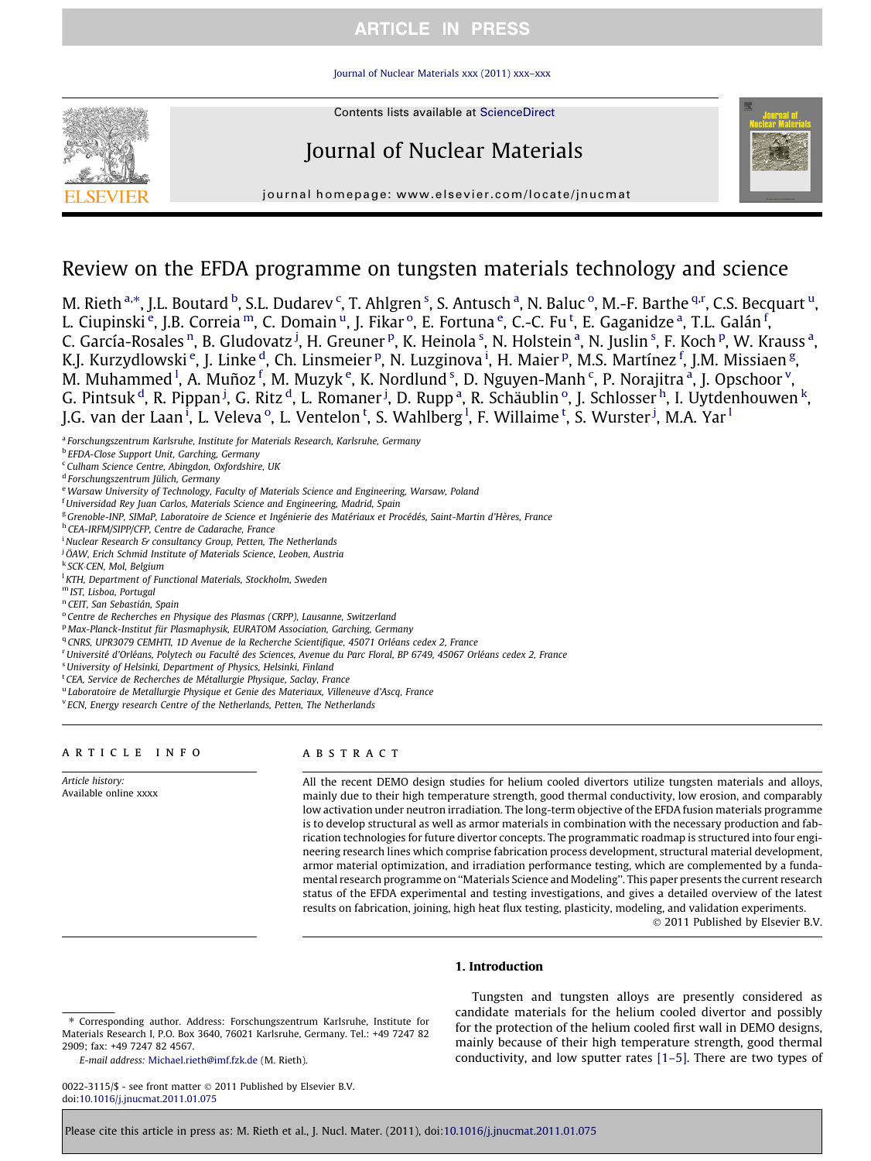## **ARTICLE IN PRESS**

### [Journal of Nuclear Materials xxx \(2011\) xxx–xxx](http://dx.doi.org/10.1016/j.jnucmat.2011.01.075)



Contents lists available at [ScienceDirect](http://www.sciencedirect.com/science/journal/00223115)

# Journal of Nuclear Materials



journal homepage: [www.elsevier.com/locate/jnucmat](http://www.elsevier.com/locate/jnucmat)

## Review on the EFDA programme on tungsten materials technology and science

M. Rieth <sup>a,</sup>\*, J.L. Boutard <sup>b</sup>, S.L. Dudarev <sup>c</sup>, T. Ahlgren <sup>s</sup>, S. Antusch <sup>a</sup>, N. Baluc <sup>o</sup>, M.-F. Barthe <sup>q,r</sup>, C.S. Becquart <sup>u</sup>, L. Ciupinski <sup>e</sup>, J.B. Correia <sup>m</sup>, C. Domain <sup>u</sup>, J. Fikar <sup>o</sup>, E. Fortuna <sup>e</sup>, C.-C. Fu <sup>t</sup>, E. Gaganidze <sup>a</sup>, T.L. Galán <sup>f</sup>, C. García-Rosales <sup>n</sup>, B. Gludovatz <sup>j</sup>, H. Greuner <sup>p</sup>, K. Heinola <sup>s</sup>, N. Holstein <sup>a</sup>, N. Juslin <sup>s</sup>, F. Koch <sup>p</sup>, W. Krauss <sup>a</sup>, K.J. Kurzydlowski <sup>e</sup>, J. Linke <sup>d</sup>, Ch. Linsmeier <sup>p</sup>, N. Luzginova <sup>i</sup>, H. Maier <sup>p</sup>, M.S. Martínez <sup>f</sup>, J.M. Missiaen <sup>g</sup>, M. Muhammed <sup>1</sup>, A. Muñoz <sup>f</sup>, M. Muzyk <sup>e</sup>, K. Nordlund <sup>s</sup>, D. Nguyen-Manh <sup>c</sup>, P. Norajitra <sup>a</sup>, J. Opschoor <sup>v</sup>, G. Pintsuk <sup>d</sup>, R. Pippan <sup>j</sup>, G. Ritz <sup>d</sup>, L. Romaner <sup>j</sup>, D. Rupp <sup>a</sup>, R. Schäublin  $^{\rm o}$ , J. Schlosser <sup>h</sup>, I. Uytdenhouwen <sup>k</sup>, J.G. van der Laan <sup>i</sup>, L. Veleva <sup>o</sup>, L. Ventelon <sup>t</sup>, S. Wahlberg <sup>l</sup>, F. Willaime <sup>t</sup>, S. Wurster <sup>j</sup>, M.A. Yar <sup>l</sup>

<sup>a</sup> Forschungszentrum Karlsruhe, Institute for Materials Research, Karlsruhe, Germany

<sup>c</sup> Culham Science Centre, Abingdon, Oxfordshire, UK

<sup>d</sup> Forschungszentrum Jülich, Germany

e Warsaw University of Technology, Faculty of Materials Science and Engineering, Warsaw, Poland

<sup>f</sup> Universidad Rey Juan Carlos, Materials Science and Engineering, Madrid, Spain

<sup>g</sup> Grenoble-INP, SIMaP, Laboratoire de Science et Ingénierie des Matériaux et Procédés, Saint-Martin d'Hères, France

<sup>h</sup> CEA-IRFM/SIPP/CFP, Centre de Cadarache, France

<sup>i</sup> Nuclear Research & consultancy Group, Petten, The Netherlands

<sup>j</sup> ÖAW, Erich Schmid Institute of Materials Science, Leoben, Austria

<sup>k</sup> SCK-CEN, Mol, Belgium

<sup>l</sup> KTH, Department of Functional Materials, Stockholm, Sweden

<sup>m</sup> IST, Lisboa, Portugal

<sup>n</sup> CEIT, San Sebastián, Spain

<sup>o</sup> Centre de Recherches en Physique des Plasmas (CRPP), Lausanne, Switzerland

<sup>q</sup> CNRS, UPR3079 CEMHTI, 1D Avenue de la Recherche Scientifique, 45071 Orléans cedex 2, France

r Université d'Orléans, Polytech ou Faculté des Sciences, Avenue du Parc Floral, BP 6749, 45067 Orléans cedex 2, France

<sup>s</sup>University of Helsinki, Department of Physics, Helsinki, Finland

<sup>t</sup> CEA, Service de Recherches de Métallurgie Physique, Saclay, France

<sup>u</sup> Laboratoire de Metallurgie Physique et Genie des Materiaux, Villeneuve d'Ascq, France

<sup>v</sup> ECN, Energy research Centre of the Netherlands, Petten, The Netherlands

#### article info

Article history: Available online xxxx

#### abstract

All the recent DEMO design studies for helium cooled divertors utilize tungsten materials and alloys, mainly due to their high temperature strength, good thermal conductivity, low erosion, and comparably low activation under neutron irradiation. The long-term objective of the EFDA fusion materials programme is to develop structural as well as armor materials in combination with the necessary production and fabrication technologies for future divertor concepts. The programmatic roadmap is structured into four engineering research lines which comprise fabrication process development, structural material development, armor material optimization, and irradiation performance testing, which are complemented by a fundamental research programme on ''Materials Science and Modeling''. This paper presents the current research status of the EFDA experimental and testing investigations, and gives a detailed overview of the latest results on fabrication, joining, high heat flux testing, plasticity, modeling, and validation experiments. © 2011 Published by Elsevier B.V.

#### 1. Introduction

E-mail address: [Michael.rieth@imf.fzk.de](mailto:Michael.rieth@imf.fzk.de) (M. Rieth).

0022-3115/\$ - see front matter © 2011 Published by Elsevier B.V. doi[:10.1016/j.jnucmat.2011.01.075](http://dx.doi.org/10.1016/j.jnucmat.2011.01.075)

Tungsten and tungsten alloys are presently considered as candidate materials for the helium cooled divertor and possibly for the protection of the helium cooled first wall in DEMO designs, mainly because of their high temperature strength, good thermal conductivity, and low sputter rates [\[1–5\].](#page-4-0) There are two types of

Please cite this article in press as: M. Rieth et al., J. Nucl. Mater. (2011), doi:[10.1016/j.jnucmat.2011.01.075](http://dx.doi.org/10.1016/j.jnucmat.2011.01.075)

**b EFDA-Close Support Unit, Garching, Germany** 

<sup>p</sup> Max-Planck-Institut für Plasmaphysik, EURATOM Association, Garching, Germany

<sup>⇑</sup> Corresponding author. Address: Forschungszentrum Karlsruhe, Institute for Materials Research I, P.O. Box 3640, 76021 Karlsruhe, Germany. Tel.: +49 7247 82 2909; fax: +49 7247 82 4567.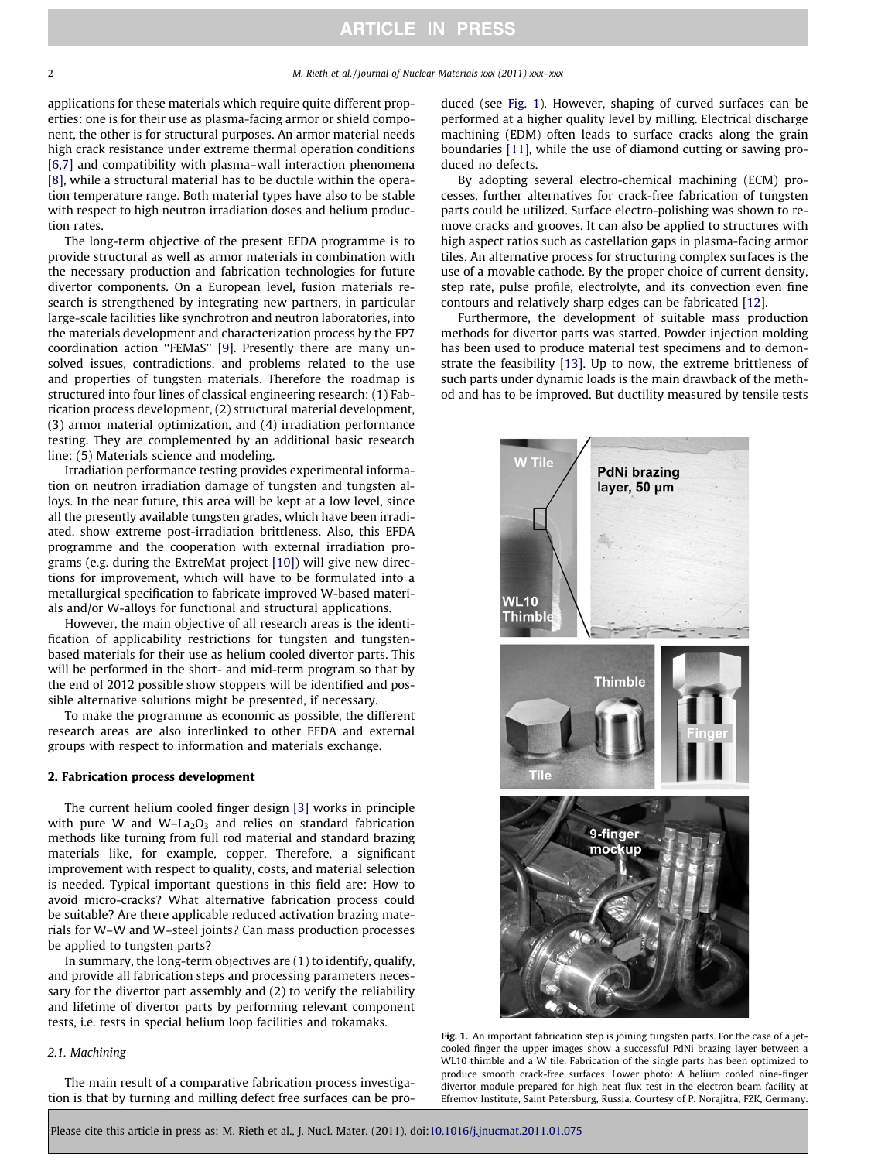<span id="page-1-0"></span>applications for these materials which require quite different properties: one is for their use as plasma-facing armor or shield component, the other is for structural purposes. An armor material needs high crack resistance under extreme thermal operation conditions [\[6,7\]](#page-4-0) and compatibility with plasma-wall interaction phenomena [\[8\]](#page-4-0), while a structural material has to be ductile within the operation temperature range. Both material types have also to be stable with respect to high neutron irradiation doses and helium production rates.

The long-term objective of the present EFDA programme is to provide structural as well as armor materials in combination with the necessary production and fabrication technologies for future divertor components. On a European level, fusion materials research is strengthened by integrating new partners, in particular large-scale facilities like synchrotron and neutron laboratories, into the materials development and characterization process by the FP7 coordination action ''FEMaS'' [\[9\].](#page-4-0) Presently there are many unsolved issues, contradictions, and problems related to the use and properties of tungsten materials. Therefore the roadmap is structured into four lines of classical engineering research: (1) Fabrication process development, (2) structural material development, (3) armor material optimization, and (4) irradiation performance testing. They are complemented by an additional basic research line: (5) Materials science and modeling.

Irradiation performance testing provides experimental information on neutron irradiation damage of tungsten and tungsten alloys. In the near future, this area will be kept at a low level, since all the presently available tungsten grades, which have been irradiated, show extreme post-irradiation brittleness. Also, this EFDA programme and the cooperation with external irradiation programs (e.g. during the ExtreMat project [\[10\]\)](#page-4-0) will give new directions for improvement, which will have to be formulated into a metallurgical specification to fabricate improved W-based materials and/or W-alloys for functional and structural applications.

However, the main objective of all research areas is the identification of applicability restrictions for tungsten and tungstenbased materials for their use as helium cooled divertor parts. This will be performed in the short- and mid-term program so that by the end of 2012 possible show stoppers will be identified and possible alternative solutions might be presented, if necessary.

To make the programme as economic as possible, the different research areas are also interlinked to other EFDA and external groups with respect to information and materials exchange.

#### 2. Fabrication process development

The current helium cooled finger design [\[3\]](#page-4-0) works in principle with pure W and W-La<sub>2</sub>O<sub>3</sub> and relies on standard fabrication methods like turning from full rod material and standard brazing materials like, for example, copper. Therefore, a significant improvement with respect to quality, costs, and material selection is needed. Typical important questions in this field are: How to avoid micro-cracks? What alternative fabrication process could be suitable? Are there applicable reduced activation brazing materials for W–W and W–steel joints? Can mass production processes be applied to tungsten parts?

In summary, the long-term objectives are (1) to identify, qualify, and provide all fabrication steps and processing parameters necessary for the divertor part assembly and (2) to verify the reliability and lifetime of divertor parts by performing relevant component tests, i.e. tests in special helium loop facilities and tokamaks.

## 2.1. Machining

The main result of a comparative fabrication process investigation is that by turning and milling defect free surfaces can be produced (see Fig. 1). However, shaping of curved surfaces can be performed at a higher quality level by milling. Electrical discharge machining (EDM) often leads to surface cracks along the grain boundaries [\[11\],](#page-4-0) while the use of diamond cutting or sawing produced no defects.

By adopting several electro-chemical machining (ECM) processes, further alternatives for crack-free fabrication of tungsten parts could be utilized. Surface electro-polishing was shown to remove cracks and grooves. It can also be applied to structures with high aspect ratios such as castellation gaps in plasma-facing armor tiles. An alternative process for structuring complex surfaces is the use of a movable cathode. By the proper choice of current density, step rate, pulse profile, electrolyte, and its convection even fine contours and relatively sharp edges can be fabricated [\[12\]](#page-4-0).

Furthermore, the development of suitable mass production methods for divertor parts was started. Powder injection molding has been used to produce material test specimens and to demonstrate the feasibility [\[13\].](#page-4-0) Up to now, the extreme brittleness of such parts under dynamic loads is the main drawback of the method and has to be improved. But ductility measured by tensile tests



Fig. 1. An important fabrication step is joining tungsten parts. For the case of a jetcooled finger the upper images show a successful PdNi brazing layer between a WL10 thimble and a W tile. Fabrication of the single parts has been optimized to produce smooth crack-free surfaces. Lower photo: A helium cooled nine-finger divertor module prepared for high heat flux test in the electron beam facility at Efremov Institute, Saint Petersburg, Russia. Courtesy of P. Norajitra, FZK, Germany.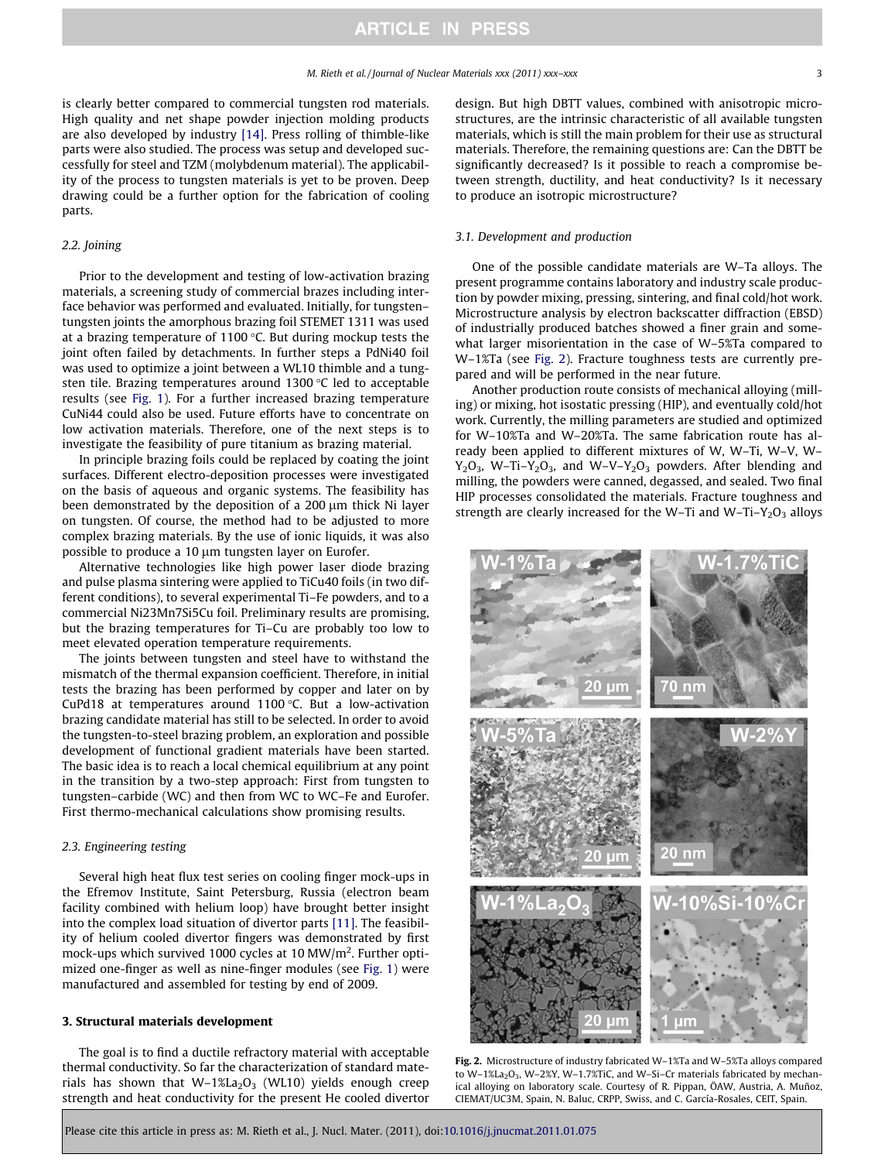<span id="page-2-0"></span>is clearly better compared to commercial tungsten rod materials. High quality and net shape powder injection molding products are also developed by industry [\[14\].](#page-4-0) Press rolling of thimble-like parts were also studied. The process was setup and developed successfully for steel and TZM (molybdenum material). The applicability of the process to tungsten materials is yet to be proven. Deep drawing could be a further option for the fabrication of cooling parts.

### 2.2. Joining

Prior to the development and testing of low-activation brazing materials, a screening study of commercial brazes including interface behavior was performed and evaluated. Initially, for tungsten– tungsten joints the amorphous brazing foil STEMET 1311 was used at a brazing temperature of 1100  $\degree$ C. But during mockup tests the joint often failed by detachments. In further steps a PdNi40 foil was used to optimize a joint between a WL10 thimble and a tungsten tile. Brazing temperatures around  $1300$  °C led to acceptable results (see [Fig. 1](#page-1-0)). For a further increased brazing temperature CuNi44 could also be used. Future efforts have to concentrate on low activation materials. Therefore, one of the next steps is to investigate the feasibility of pure titanium as brazing material.

In principle brazing foils could be replaced by coating the joint surfaces. Different electro-deposition processes were investigated on the basis of aqueous and organic systems. The feasibility has been demonstrated by the deposition of a 200  $\mu$ m thick Ni layer on tungsten. Of course, the method had to be adjusted to more complex brazing materials. By the use of ionic liquids, it was also possible to produce a 10 µm tungsten layer on Eurofer.

Alternative technologies like high power laser diode brazing and pulse plasma sintering were applied to TiCu40 foils (in two different conditions), to several experimental Ti–Fe powders, and to a commercial Ni23Mn7Si5Cu foil. Preliminary results are promising, but the brazing temperatures for Ti–Cu are probably too low to meet elevated operation temperature requirements.

The joints between tungsten and steel have to withstand the mismatch of the thermal expansion coefficient. Therefore, in initial tests the brazing has been performed by copper and later on by CuPd18 at temperatures around 1100 $\degree$ C. But a low-activation brazing candidate material has still to be selected. In order to avoid the tungsten-to-steel brazing problem, an exploration and possible development of functional gradient materials have been started. The basic idea is to reach a local chemical equilibrium at any point in the transition by a two-step approach: First from tungsten to tungsten–carbide (WC) and then from WC to WC–Fe and Eurofer. First thermo-mechanical calculations show promising results.

### 2.3. Engineering testing

Several high heat flux test series on cooling finger mock-ups in the Efremov Institute, Saint Petersburg, Russia (electron beam facility combined with helium loop) have brought better insight into the complex load situation of divertor parts [\[11\].](#page-4-0) The feasibility of helium cooled divertor fingers was demonstrated by first mock-ups which survived 1000 cycles at 10 MW/m<sup>2</sup>. Further optimized one-finger as well as nine-finger modules (see [Fig. 1](#page-1-0)) were manufactured and assembled for testing by end of 2009.

#### 3. Structural materials development

The goal is to find a ductile refractory material with acceptable thermal conductivity. So far the characterization of standard materials has shown that  $W-1\%La_2O_3$  (WL10) yields enough creep strength and heat conductivity for the present He cooled divertor design. But high DBTT values, combined with anisotropic microstructures, are the intrinsic characteristic of all available tungsten materials, which is still the main problem for their use as structural materials. Therefore, the remaining questions are: Can the DBTT be significantly decreased? Is it possible to reach a compromise between strength, ductility, and heat conductivity? Is it necessary to produce an isotropic microstructure?

### 3.1. Development and production

One of the possible candidate materials are W–Ta alloys. The present programme contains laboratory and industry scale production by powder mixing, pressing, sintering, and final cold/hot work. Microstructure analysis by electron backscatter diffraction (EBSD) of industrially produced batches showed a finer grain and somewhat larger misorientation in the case of W–5%Ta compared to W–1%Ta (see Fig. 2). Fracture toughness tests are currently prepared and will be performed in the near future.

Another production route consists of mechanical alloying (milling) or mixing, hot isostatic pressing (HIP), and eventually cold/hot work. Currently, the milling parameters are studied and optimized for W–10%Ta and W–20%Ta. The same fabrication route has already been applied to different mixtures of W, W–Ti, W–V, W–  $Y_2O_3$ , W-Ti- $Y_2O_3$ , and W-V- $Y_2O_3$  powders. After blending and milling, the powders were canned, degassed, and sealed. Two final HIP processes consolidated the materials. Fracture toughness and strength are clearly increased for the W-Ti and W-Ti-Y<sub>2</sub>O<sub>3</sub> alloys



Fig. 2. Microstructure of industry fabricated W–1%Ta and W–5%Ta alloys compared to W–1%La<sub>2</sub>O<sub>3</sub>, W–2%Y, W–1.7%TiC, and W–Si–Cr materials fabricated by mechanical alloying on laboratory scale. Courtesy of R. Pippan, ÖAW, Austria, A. Muñoz, CIEMAT/UC3M, Spain, N. Baluc, CRPP, Swiss, and C. García-Rosales, CEIT, Spain.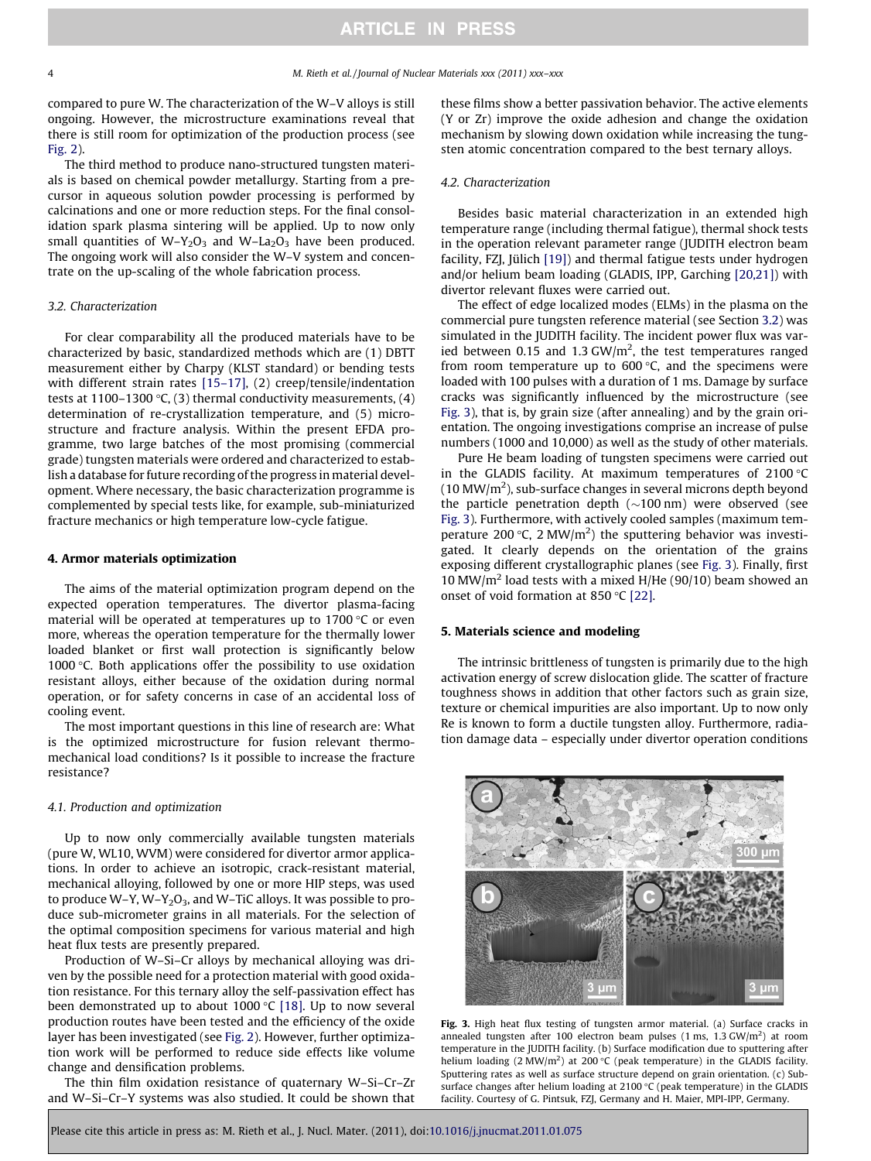compared to pure W. The characterization of the W–V alloys is still ongoing. However, the microstructure examinations reveal that there is still room for optimization of the production process (see [Fig. 2](#page-2-0)).

The third method to produce nano-structured tungsten materials is based on chemical powder metallurgy. Starting from a precursor in aqueous solution powder processing is performed by calcinations and one or more reduction steps. For the final consolidation spark plasma sintering will be applied. Up to now only small quantities of  $W-Y_2O_3$  and  $W-La_2O_3$  have been produced. The ongoing work will also consider the W–V system and concentrate on the up-scaling of the whole fabrication process.

#### 3.2. Characterization

For clear comparability all the produced materials have to be characterized by basic, standardized methods which are (1) DBTT measurement either by Charpy (KLST standard) or bending tests with different strain rates [15-17], (2) creep/tensile/indentation tests at 1100–1300 °C, (3) thermal conductivity measurements, (4) determination of re-crystallization temperature, and (5) microstructure and fracture analysis. Within the present EFDA programme, two large batches of the most promising (commercial grade) tungsten materials were ordered and characterized to establish a database for future recording of the progress in material development. Where necessary, the basic characterization programme is complemented by special tests like, for example, sub-miniaturized fracture mechanics or high temperature low-cycle fatigue.

### 4. Armor materials optimization

The aims of the material optimization program depend on the expected operation temperatures. The divertor plasma-facing material will be operated at temperatures up to  $1700$  °C or even more, whereas the operation temperature for the thermally lower loaded blanket or first wall protection is significantly below 1000 $\degree$ C. Both applications offer the possibility to use oxidation resistant alloys, either because of the oxidation during normal operation, or for safety concerns in case of an accidental loss of cooling event.

The most important questions in this line of research are: What is the optimized microstructure for fusion relevant thermomechanical load conditions? Is it possible to increase the fracture resistance?

#### 4.1. Production and optimization

Up to now only commercially available tungsten materials (pure W, WL10, WVM) were considered for divertor armor applications. In order to achieve an isotropic, crack-resistant material, mechanical alloying, followed by one or more HIP steps, was used to produce W–Y, W–Y<sub>2</sub>O<sub>3</sub>, and W–TiC alloys. It was possible to produce sub-micrometer grains in all materials. For the selection of the optimal composition specimens for various material and high heat flux tests are presently prepared.

Production of W–Si–Cr alloys by mechanical alloying was driven by the possible need for a protection material with good oxidation resistance. For this ternary alloy the self-passivation effect has been demonstrated up to about 1000  $\degree$ C [\[18\].](#page-4-0) Up to now several production routes have been tested and the efficiency of the oxide layer has been investigated (see [Fig. 2\)](#page-2-0). However, further optimization work will be performed to reduce side effects like volume change and densification problems.

The thin film oxidation resistance of quaternary W–Si–Cr–Zr and W–Si–Cr–Y systems was also studied. It could be shown that

these films show a better passivation behavior. The active elements (Y or Zr) improve the oxide adhesion and change the oxidation mechanism by slowing down oxidation while increasing the tungsten atomic concentration compared to the best ternary alloys.

#### 4.2. Characterization

Besides basic material characterization in an extended high temperature range (including thermal fatigue), thermal shock tests in the operation relevant parameter range (JUDITH electron beam facility, FZJ, Jülich [\[19\]\)](#page-4-0) and thermal fatigue tests under hydrogen and/or helium beam loading (GLADIS, IPP, Garching [\[20,21\]](#page-4-0)) with divertor relevant fluxes were carried out.

The effect of edge localized modes (ELMs) in the plasma on the commercial pure tungsten reference material (see Section 3.2) was simulated in the JUDITH facility. The incident power flux was varied between 0.15 and 1.3 GW/ $m<sup>2</sup>$ , the test temperatures ranged from room temperature up to  $600^{\circ}$ C, and the specimens were loaded with 100 pulses with a duration of 1 ms. Damage by surface cracks was significantly influenced by the microstructure (see Fig. 3), that is, by grain size (after annealing) and by the grain orientation. The ongoing investigations comprise an increase of pulse numbers (1000 and 10,000) as well as the study of other materials.

Pure He beam loading of tungsten specimens were carried out in the GLADIS facility. At maximum temperatures of  $2100 °C$  $(10 \text{ MW/m}^2)$ , sub-surface changes in several microns depth beyond the particle penetration depth  $(\sim100 \text{ nm})$  were observed (see Fig. 3). Furthermore, with actively cooled samples (maximum temperature 200 °C, 2 MW/ $m<sup>2</sup>$ ) the sputtering behavior was investigated. It clearly depends on the orientation of the grains exposing different crystallographic planes (see Fig. 3). Finally, first 10 MW/ $m^2$  load tests with a mixed H/He (90/10) beam showed an onset of void formation at 850 °C [\[22\]](#page-4-0).

## 5. Materials science and modeling

The intrinsic brittleness of tungsten is primarily due to the high activation energy of screw dislocation glide. The scatter of fracture toughness shows in addition that other factors such as grain size, texture or chemical impurities are also important. Up to now only Re is known to form a ductile tungsten alloy. Furthermore, radiation damage data – especially under divertor operation conditions



Fig. 3. High heat flux testing of tungsten armor material. (a) Surface cracks in annealed tungsten after 100 electron beam pulses  $(1 \text{ ms}, 1.3 \text{ GW/m}^2)$  at room temperature in the JUDITH facility. (b) Surface modification due to sputtering after helium loading (2 MW/m<sup>2</sup>) at 200 °C (peak temperature) in the GLADIS facility. Sputtering rates as well as surface structure depend on grain orientation. (c) Subsurface changes after helium loading at 2100  $\mathrm{C}$  (peak temperature) in the GLADIS facility. Courtesy of G. Pintsuk, FZJ, Germany and H. Maier, MPI-IPP, Germany.